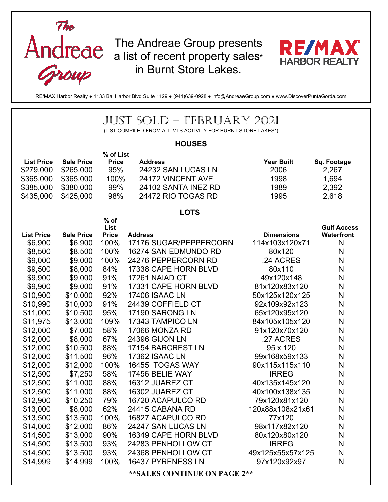



RE/MAX Harbor Realty ● 1133 Bal Harbor Blvd Suite 1129 ● (941)639-0928 ● info@AndreaeGroup.com ● www.DiscoverPuntaGorda.com

| JUST SOLD – FEBRUARY 2021<br>(LIST COMPILED FROM ALL MLS ACTIVITY FOR BURNT STORE LAKES*)                                                                                                                                                                                           |                                                                                                                                                                                                                                                                                 |                                                                                                                                                                                             |                                                                                                                                                                                                                                                                                                                                                                                                                                                                                                 |                                                                                                                                                                                                                                                                                                                                                                            |                                                                                                                                                |  |  |  |  |  |
|-------------------------------------------------------------------------------------------------------------------------------------------------------------------------------------------------------------------------------------------------------------------------------------|---------------------------------------------------------------------------------------------------------------------------------------------------------------------------------------------------------------------------------------------------------------------------------|---------------------------------------------------------------------------------------------------------------------------------------------------------------------------------------------|-------------------------------------------------------------------------------------------------------------------------------------------------------------------------------------------------------------------------------------------------------------------------------------------------------------------------------------------------------------------------------------------------------------------------------------------------------------------------------------------------|----------------------------------------------------------------------------------------------------------------------------------------------------------------------------------------------------------------------------------------------------------------------------------------------------------------------------------------------------------------------------|------------------------------------------------------------------------------------------------------------------------------------------------|--|--|--|--|--|
| <b>HOUSES</b>                                                                                                                                                                                                                                                                       |                                                                                                                                                                                                                                                                                 |                                                                                                                                                                                             |                                                                                                                                                                                                                                                                                                                                                                                                                                                                                                 |                                                                                                                                                                                                                                                                                                                                                                            |                                                                                                                                                |  |  |  |  |  |
| <b>List Price</b><br>\$279,000<br>\$365,000<br>\$385,000<br>\$435,000                                                                                                                                                                                                               | <b>Sale Price</b><br>\$265,000<br>\$365,000<br>\$380,000<br>\$425,000                                                                                                                                                                                                           | % of List<br><b>Price</b><br>95%<br>100%<br>99%<br>98%                                                                                                                                      | <b>Address</b><br>24232 SAN LUCAS LN<br>24172 VINCENT AVE<br>24102 SANTA INEZ RD<br>24472 RIO TOGAS RD                                                                                                                                                                                                                                                                                                                                                                                          | <b>Year Built</b><br>2006<br>1998<br>1989<br>1995                                                                                                                                                                                                                                                                                                                          | Sq. Footage<br>2,267<br>1,694<br>2,392<br>2,618                                                                                                |  |  |  |  |  |
|                                                                                                                                                                                                                                                                                     |                                                                                                                                                                                                                                                                                 | $%$ of                                                                                                                                                                                      | <b>LOTS</b>                                                                                                                                                                                                                                                                                                                                                                                                                                                                                     |                                                                                                                                                                                                                                                                                                                                                                            |                                                                                                                                                |  |  |  |  |  |
| <b>List Price</b><br>\$6,900<br>\$8,500<br>\$9,000<br>\$9,500<br>\$9,900<br>\$9,900<br>\$10,900<br>\$10,990<br>\$11,000<br>\$11,975<br>\$12,000<br>\$12,000<br>\$12,000<br>\$12,000<br>\$12,000<br>\$12,500<br>\$12,500<br>\$12,500<br>\$12,900<br>\$13,000<br>\$13,500<br>\$14,000 | <b>Sale Price</b><br>\$6,900<br>\$8,500<br>\$9,000<br>\$8,000<br>\$9,000<br>\$9,000<br>\$10,000<br>\$10,000<br>\$10,500<br>\$13,000<br>\$7,000<br>\$8,000<br>\$10,500<br>\$11,500<br>\$12,000<br>\$7,250<br>\$11,000<br>\$11,000<br>\$10,250<br>\$8,000<br>\$13,500<br>\$12,000 | <b>List</b><br><b>Price</b><br>100%<br>100%<br>100%<br>84%<br>91%<br>91%<br>92%<br>91%<br>95%<br>109%<br>58%<br>67%<br>88%<br>96%<br>100%<br>58%<br>88%<br>88%<br>79%<br>62%<br>100%<br>86% | <b>Address</b><br>17176 SUGAR/PEPPERCORN<br>16274 SAN EDMUNDO RD<br>24276 PEPPERCORN RD<br>17338 CAPE HORN BLVD<br>17261 NAIAD CT<br>17331 CAPE HORN BLVD<br><b>17406 ISAAC LN</b><br>24439 COFFIELD CT<br>17190 SARONG LN<br>17343 TAMPICO LN<br>17066 MONZA RD<br>24396 GIJON LN<br>17154 BARCREST LN<br><b>17362 ISAAC LN</b><br>16455 TOGAS WAY<br>17456 BELIE WAY<br>16312 JUAREZ CT<br>16302 JUAREZ CT<br>16720 ACAPULCO RD<br>24415 CABANA RD<br>16827 ACAPULCO RD<br>24247 SAN LUCAS LN | <b>Dimensions</b><br>114x103x120x71<br>80x120<br>.24 ACRES<br>80x110<br>49x120x148<br>81x120x83x120<br>50x125x120x125<br>92x109x92x123<br>65x120x95x120<br>84x105x105x120<br>91x120x70x120<br>.27 ACRES<br>95 x 120<br>99x168x59x133<br>90x115x115x110<br><b>IRREG</b><br>40x135x145x120<br>40x100x138x135<br>79x120x81x120<br>120x88x108x21x61<br>77x120<br>98x117x82x120 | <b>Gulf Access</b><br>Waterfront<br>N<br>N<br>N<br>N<br>N<br>N<br>N<br>N<br>N<br>N<br>N<br>N<br>N<br>N<br>N<br>N<br>N<br>N<br>N<br>N<br>N<br>N |  |  |  |  |  |
| \$14,500<br>\$14,500<br>\$14,500<br>\$14,999                                                                                                                                                                                                                                        | \$13,000<br>\$13,500<br>\$13,500<br>\$14,999                                                                                                                                                                                                                                    | 90%<br>93%<br>93%<br>100%                                                                                                                                                                   | 16349 CAPE HORN BLVD<br>24283 PENHOLLOW CT<br>24368 PENHOLLOW CT<br>16437 PYRENESS LN                                                                                                                                                                                                                                                                                                                                                                                                           | 80x120x80x120<br><b>IRREG</b><br>49x125x55x57x125<br>97x120x92x97                                                                                                                                                                                                                                                                                                          | N<br>N<br>N<br>N                                                                                                                               |  |  |  |  |  |
| ** SALES CONTINUE ON PAGE 2**                                                                                                                                                                                                                                                       |                                                                                                                                                                                                                                                                                 |                                                                                                                                                                                             |                                                                                                                                                                                                                                                                                                                                                                                                                                                                                                 |                                                                                                                                                                                                                                                                                                                                                                            |                                                                                                                                                |  |  |  |  |  |